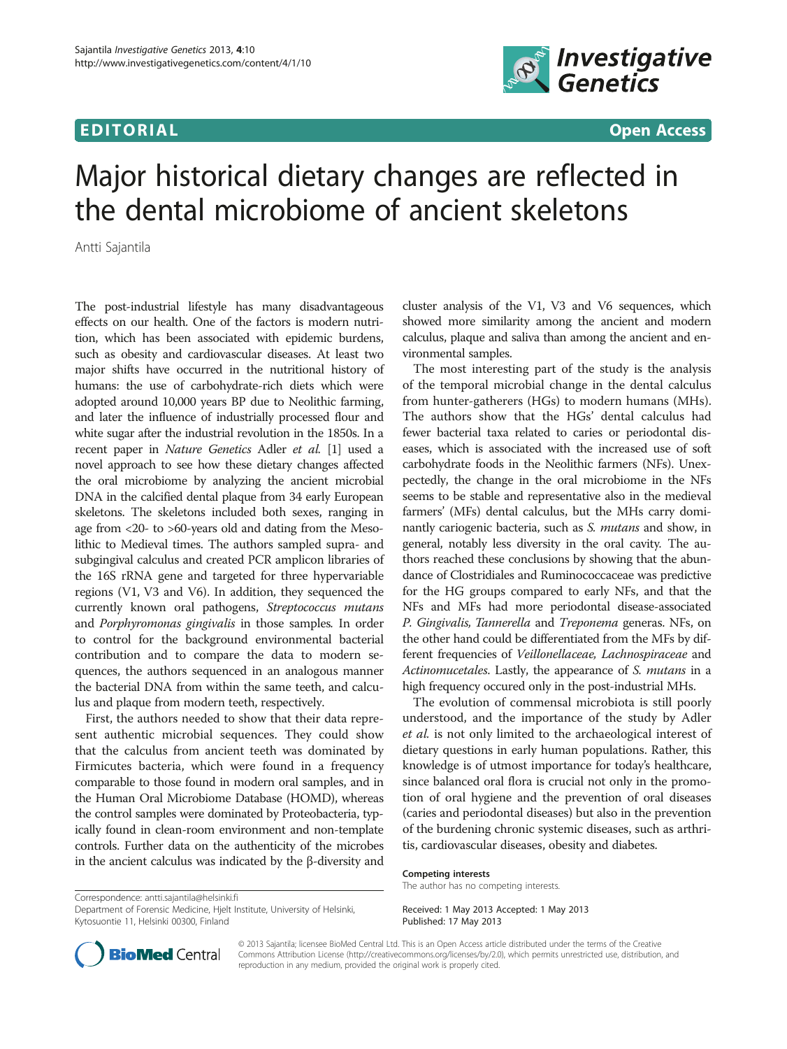## EDITORIAL CONTRACT CONTRACT CONTRACT CONTRACT CONTRACT CONTRACT CONTRACT CONTRACT CONTRACT CONTRACT CONTRACT CO



# Major historical dietary changes are reflected in the dental microbiome of ancient skeletons

Antti Sajantila

The post-industrial lifestyle has many disadvantageous effects on our health. One of the factors is modern nutrition, which has been associated with epidemic burdens, such as obesity and cardiovascular diseases. At least two major shifts have occurred in the nutritional history of humans: the use of carbohydrate-rich diets which were adopted around 10,000 years BP due to Neolithic farming, and later the influence of industrially processed flour and white sugar after the industrial revolution in the 1850s. In a recent paper in Nature Genetics Adler et al. [\[1\]](#page-1-0) used a novel approach to see how these dietary changes affected the oral microbiome by analyzing the ancient microbial DNA in the calcified dental plaque from 34 early European skeletons. The skeletons included both sexes, ranging in age from <20- to >60-years old and dating from the Mesolithic to Medieval times. The authors sampled supra- and subgingival calculus and created PCR amplicon libraries of the 16S rRNA gene and targeted for three hypervariable regions (V1, V3 and V6). In addition, they sequenced the currently known oral pathogens, Streptococcus mutans and Porphyromonas gingivalis in those samples. In order to control for the background environmental bacterial contribution and to compare the data to modern sequences, the authors sequenced in an analogous manner the bacterial DNA from within the same teeth, and calculus and plaque from modern teeth, respectively.

First, the authors needed to show that their data represent authentic microbial sequences. They could show that the calculus from ancient teeth was dominated by Firmicutes bacteria, which were found in a frequency comparable to those found in modern oral samples, and in the Human Oral Microbiome Database (HOMD), whereas the control samples were dominated by Proteobacteria, typically found in clean-room environment and non-template controls. Further data on the authenticity of the microbes in the ancient calculus was indicated by the β-diversity and

Correspondence: [antti.sajantila@helsinki.fi](mailto:antti.sajantila@helsinki.fi)

Department of Forensic Medicine, Hjelt Institute, University of Helsinki, Kytosuontie 11, Helsinki 00300, Finland

cluster analysis of the V1, V3 and V6 sequences, which showed more similarity among the ancient and modern calculus, plaque and saliva than among the ancient and environmental samples.

The most interesting part of the study is the analysis of the temporal microbial change in the dental calculus from hunter-gatherers (HGs) to modern humans (MHs). The authors show that the HGs' dental calculus had fewer bacterial taxa related to caries or periodontal diseases, which is associated with the increased use of soft carbohydrate foods in the Neolithic farmers (NFs). Unexpectedly, the change in the oral microbiome in the NFs seems to be stable and representative also in the medieval farmers' (MFs) dental calculus, but the MHs carry dominantly cariogenic bacteria, such as S. mutans and show, in general, notably less diversity in the oral cavity. The authors reached these conclusions by showing that the abundance of Clostridiales and Ruminococcaceae was predictive for the HG groups compared to early NFs, and that the NFs and MFs had more periodontal disease-associated P. Gingivalis, Tannerella and Treponema generas. NFs, on the other hand could be differentiated from the MFs by different frequencies of Veillonellaceae, Lachnospiraceae and Actinomucetales. Lastly, the appearance of S. mutans in a high frequency occured only in the post-industrial MHs.

The evolution of commensal microbiota is still poorly understood, and the importance of the study by Adler et al. is not only limited to the archaeological interest of dietary questions in early human populations. Rather, this knowledge is of utmost importance for today's healthcare, since balanced oral flora is crucial not only in the promotion of oral hygiene and the prevention of oral diseases (caries and periodontal diseases) but also in the prevention of the burdening chronic systemic diseases, such as arthritis, cardiovascular diseases, obesity and diabetes.

The author has no competing interests.

Received: 1 May 2013 Accepted: 1 May 2013 Published: 17 May 2013



© 2013 Sajantila; licensee BioMed Central Ltd. This is an Open Access article distributed under the terms of the Creative Commons Attribution License [\(http://creativecommons.org/licenses/by/2.0\)](http://creativecommons.org/licenses/by/2.0), which permits unrestricted use, distribution, and reproduction in any medium, provided the original work is properly cited.